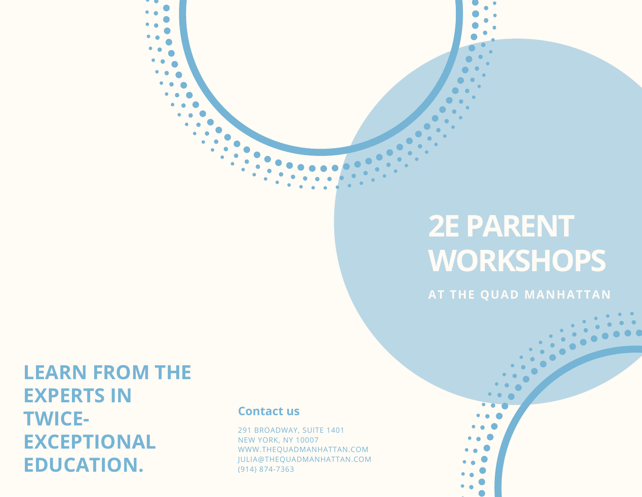# **2E PARENT WORKSHOPS**

**AT THE QUAD MANHATTAN**

**LEARN FROM THE EXPERTS IN TWICE-EXCEPTIONAL EDUCATION.**

## **Contact us**

291 BROADWAY, SUITE 1401 NEW YORK, NY 10007 WWW.THEQUADMANHATTAN.COM JULIA@THEQUADMANHATTAN.COM (914) 874-7363